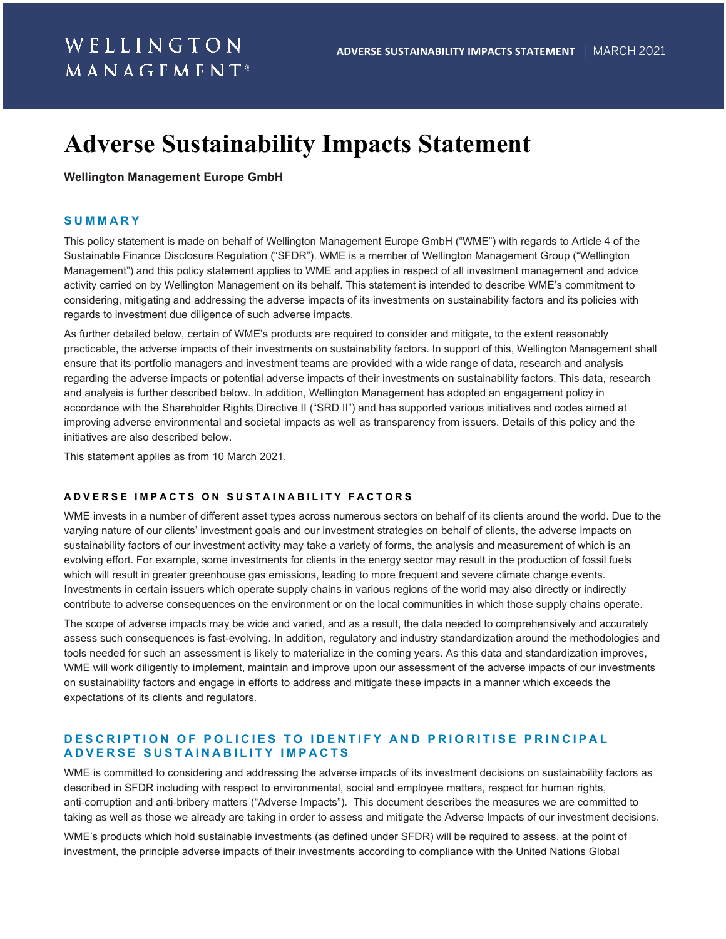# **Adverse Sustainability Impacts Statement**

#### **Wellington Management Europe GmbH**

#### **SUMMARY**

This policy statement is made on behalf of Wellington Management Europe GmbH ("WME") with regards to Article 4 of the Sustainable Finance Disclosure Regulation ("SFDR"). WME is a member of Wellington Management Group ("Wellington Management") and this policy statement applies to WME and applies in respect of all investment management and advice activity carried on by Wellington Management on its behalf. This statement is intended to describe WME's commitment to considering, mitigating and addressing the adverse impacts of its investments on sustainability factors and its policies with regards to investment due diligence of such adverse impacts.

As further detailed below, certain of WME's products are required to consider and mitigate, to the extent reasonably practicable, the adverse impacts of their investments on sustainability factors. In support of this, Wellington Management shall ensure that its portfolio managers and investment teams are provided with a wide range of data, research and analysis regarding the adverse impacts or potential adverse impacts of their investments on sustainability factors. This data, research and analysis is further described below. In addition, Wellington Management has adopted an engagement policy in accordance with the Shareholder Rights Directive II ("SRD II") and has supported various initiatives and codes aimed at improving adverse environmental and societal impacts as well as transparency from issuers. Details of this policy and the initiatives are also described below.

This statement applies as from 10 March 2021.

#### **ADVERSE IMPACTS ON SUSTAINABILITY FACTORS**

WME invests in a number of different asset types across numerous sectors on behalf of its clients around the world. Due to the varying nature of our clients' investment goals and our investment strategies on behalf of clients, the adverse impacts on sustainability factors of our investment activity may take a variety of forms, the analysis and measurement of which is an evolving effort. For example, some investments for clients in the energy sector may result in the production of fossil fuels which will result in greater greenhouse gas emissions, leading to more frequent and severe climate change events. Investments in certain issuers which operate supply chains in various regions of the world may also directly or indirectly contribute to adverse consequences on the environment or on the local communities in which those supply chains operate.

The scope of adverse impacts may be wide and varied, and as a result, the data needed to comprehensively and accurately assess such consequences is fast-evolving. In addition, regulatory and industry standardization around the methodologies and tools needed for such an assessment is likely to materialize in the coming years. As this data and standardization improves, WME will work diligently to implement, maintain and improve upon our assessment of the adverse impacts of our investments on sustainability factors and engage in efforts to address and mitigate these impacts in a manner which exceeds the expectations of its clients and regulators.

### **DESCRIPTION OF POLICIES TO IDENTIFY AND PRIORITISE PRINCIPAL ADVERSE SUSTAINABILITY IMPACTS**

WME is committed to considering and addressing the adverse impacts of its investment decisions on sustainability factors as described in SFDR including with respect to environmental, social and employee matters, respect for human rights, anti‐corruption and anti‐bribery matters ("Adverse Impacts"). This document describes the measures we are committed to taking as well as those we already are taking in order to assess and mitigate the Adverse Impacts of our investment decisions.

WME's products which hold sustainable investments (as defined under SFDR) will be required to assess, at the point of investment, the principle adverse impacts of their investments according to compliance with the United Nations Global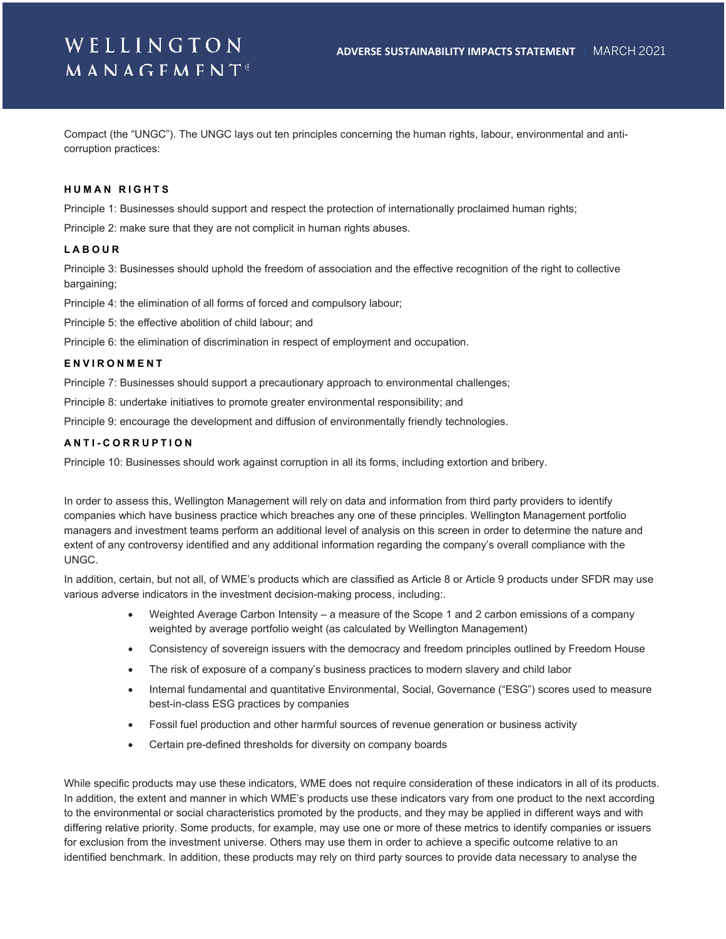# WELLINGTON  $M$  A N A G F M F N T<sup>®</sup>

Compact (the "UNGC"). The UNGC lays out ten principles concerning the human rights, labour, environmental and anticorruption practices:

#### **HUMAN RIGHTS**

Principle 1: Businesses should support and respect the protection of internationally proclaimed human rights;

Principle 2: make sure that they are not complicit in human rights abuses.

#### **LABOUR**

Principle 3: Businesses should uphold the freedom of association and the effective recognition of the right to collective bargaining;

Principle 4: the elimination of all forms of forced and compulsory labour;

Principle 5: the effective abolition of child labour; and

Principle 6: the elimination of discrimination in respect of employment and occupation.

#### **ENVIRONMENT**

Principle 7: Businesses should support a precautionary approach to environmental challenges;

Principle 8: undertake initiatives to promote greater environmental responsibility; and

Principle 9: encourage the development and diffusion of environmentally friendly technologies.

#### **ANTI - CORRUPTION**

Principle 10: Businesses should work against corruption in all its forms, including extortion and bribery.

In order to assess this, Wellington Management will rely on data and information from third party providers to identify companies which have business practice which breaches any one of these principles. Wellington Management portfolio managers and investment teams perform an additional level of analysis on this screen in order to determine the nature and extent of any controversy identified and any additional information regarding the company's overall compliance with the UNGC.

In addition, certain, but not all, of WME's products which are classified as Article 8 or Article 9 products under SFDR may use various adverse indicators in the investment decision-making process, including:.

- Weighted Average Carbon Intensity a measure of the Scope 1 and 2 carbon emissions of a company weighted by average portfolio weight (as calculated by Wellington Management)
- Consistency of sovereign issuers with the democracy and freedom principles outlined by Freedom House
- The risk of exposure of a company's business practices to modern slavery and child labor
- Internal fundamental and quantitative Environmental, Social, Governance ("ESG") scores used to measure best-in-class ESG practices by companies
- Fossil fuel production and other harmful sources of revenue generation or business activity
- Certain pre-defined thresholds for diversity on company boards

While specific products may use these indicators, WME does not require consideration of these indicators in all of its products. In addition, the extent and manner in which WME's products use these indicators vary from one product to the next according to the environmental or social characteristics promoted by the products, and they may be applied in different ways and with differing relative priority. Some products, for example, may use one or more of these metrics to identify companies or issuers for exclusion from the investment universe. Others may use them in order to achieve a specific outcome relative to an identified benchmark. In addition, these products may rely on third party sources to provide data necessary to analyse the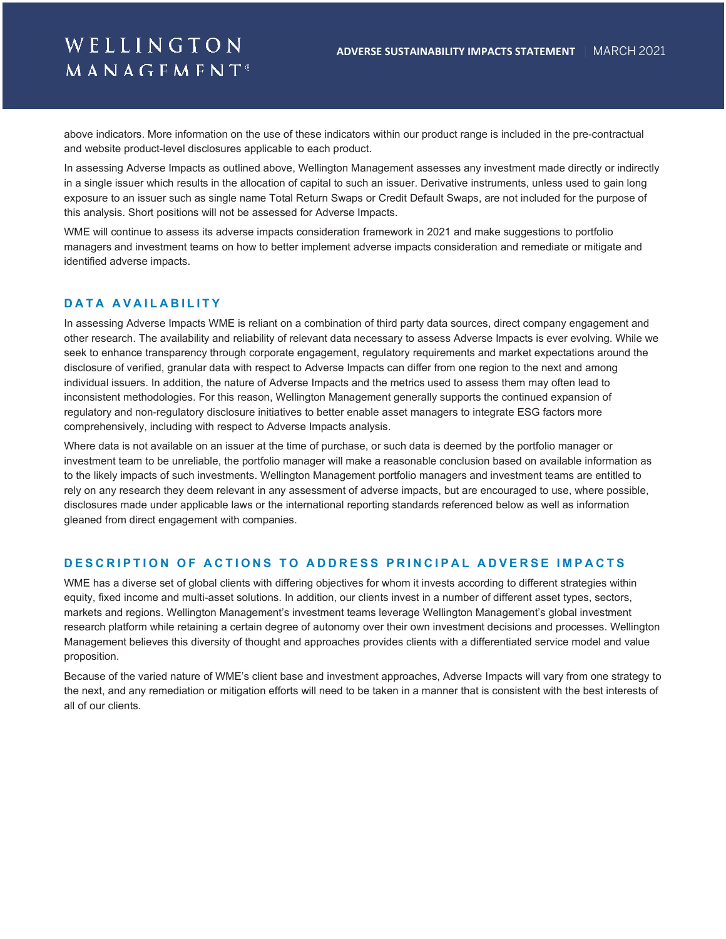# WELLINGTON **MANAGFMFNT**®

above indicators. More information on the use of these indicators within our product range is included in the pre-contractual and website product-level disclosures applicable to each product.

In assessing Adverse Impacts as outlined above, Wellington Management assesses any investment made directly or indirectly in a single issuer which results in the allocation of capital to such an issuer. Derivative instruments, unless used to gain long exposure to an issuer such as single name Total Return Swaps or Credit Default Swaps, are not included for the purpose of this analysis. Short positions will not be assessed for Adverse Impacts.

WME will continue to assess its adverse impacts consideration framework in 2021 and make suggestions to portfolio managers and investment teams on how to better implement adverse impacts consideration and remediate or mitigate and identified adverse impacts.

### **DATA AVAILABILITY**

In assessing Adverse Impacts WME is reliant on a combination of third party data sources, direct company engagement and other research. The availability and reliability of relevant data necessary to assess Adverse Impacts is ever evolving. While we seek to enhance transparency through corporate engagement, regulatory requirements and market expectations around the disclosure of verified, granular data with respect to Adverse Impacts can differ from one region to the next and among individual issuers. In addition, the nature of Adverse Impacts and the metrics used to assess them may often lead to inconsistent methodologies. For this reason, Wellington Management generally supports the continued expansion of regulatory and non-regulatory disclosure initiatives to better enable asset managers to integrate ESG factors more comprehensively, including with respect to Adverse Impacts analysis.

Where data is not available on an issuer at the time of purchase, or such data is deemed by the portfolio manager or investment team to be unreliable, the portfolio manager will make a reasonable conclusion based on available information as to the likely impacts of such investments. Wellington Management portfolio managers and investment teams are entitled to rely on any research they deem relevant in any assessment of adverse impacts, but are encouraged to use, where possible, disclosures made under applicable laws or the international reporting standards referenced below as well as information gleaned from direct engagement with companies.

### **DESCRIPTION OF ACTIONS TO ADDRESS PRINCIPAL ADVERSE IMPACTS**

WME has a diverse set of global clients with differing objectives for whom it invests according to different strategies within equity, fixed income and multi-asset solutions. In addition, our clients invest in a number of different asset types, sectors, markets and regions. Wellington Management's investment teams leverage Wellington Management's global investment research platform while retaining a certain degree of autonomy over their own investment decisions and processes. Wellington Management believes this diversity of thought and approaches provides clients with a differentiated service model and value proposition.

Because of the varied nature of WME's client base and investment approaches, Adverse Impacts will vary from one strategy to the next, and any remediation or mitigation efforts will need to be taken in a manner that is consistent with the best interests of all of our clients.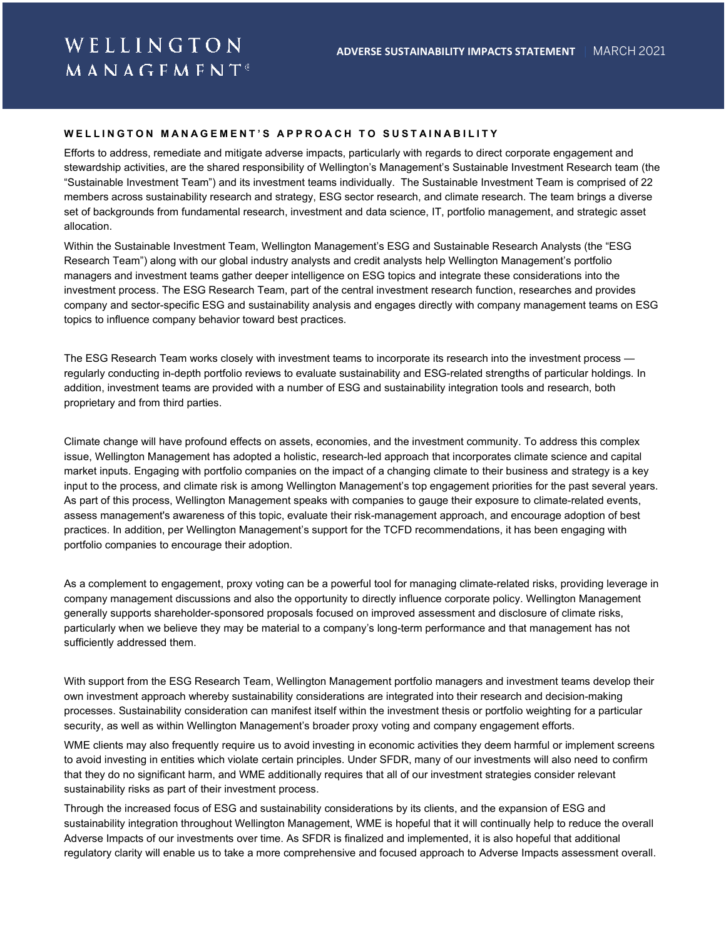#### **WELLINGTON MANAGEMENT'S APPROACH TO SUSTAINABILITY**

Efforts to address, remediate and mitigate adverse impacts, particularly with regards to direct corporate engagement and stewardship activities, are the shared responsibility of Wellington's Management's Sustainable Investment Research team (the "Sustainable Investment Team") and its investment teams individually. The Sustainable Investment Team is comprised of 22 members across sustainability research and strategy, ESG sector research, and climate research. The team brings a diverse set of backgrounds from fundamental research, investment and data science, IT, portfolio management, and strategic asset allocation.

Within the Sustainable Investment Team, Wellington Management's ESG and Sustainable Research Analysts (the "ESG Research Team") along with our global industry analysts and credit analysts help Wellington Management's portfolio managers and investment teams gather deeper intelligence on ESG topics and integrate these considerations into the investment process. The ESG Research Team, part of the central investment research function, researches and provides company and sector-specific ESG and sustainability analysis and engages directly with company management teams on ESG topics to influence company behavior toward best practices.

The ESG Research Team works closely with investment teams to incorporate its research into the investment process regularly conducting in-depth portfolio reviews to evaluate sustainability and ESG-related strengths of particular holdings. In addition, investment teams are provided with a number of ESG and sustainability integration tools and research, both proprietary and from third parties.

Climate change will have profound effects on assets, economies, and the investment community. To address this complex issue, Wellington Management has adopted a holistic, research-led approach that incorporates climate science and capital market inputs. Engaging with portfolio companies on the impact of a changing climate to their business and strategy is a key input to the process, and climate risk is among Wellington Management's top engagement priorities for the past several years. As part of this process, Wellington Management speaks with companies to gauge their exposure to climate-related events, assess management's awareness of this topic, evaluate their risk-management approach, and encourage adoption of best practices. In addition, per Wellington Management's support for the TCFD recommendations, it has been engaging with portfolio companies to encourage their adoption.

As a complement to engagement, proxy voting can be a powerful tool for managing climate-related risks, providing leverage in company management discussions and also the opportunity to directly influence corporate policy. Wellington Management generally supports shareholder-sponsored proposals focused on improved assessment and disclosure of climate risks, particularly when we believe they may be material to a company's long-term performance and that management has not sufficiently addressed them.

With support from the ESG Research Team, Wellington Management portfolio managers and investment teams develop their own investment approach whereby sustainability considerations are integrated into their research and decision-making processes. Sustainability consideration can manifest itself within the investment thesis or portfolio weighting for a particular security, as well as within Wellington Management's broader proxy voting and company engagement efforts.

WME clients may also frequently require us to avoid investing in economic activities they deem harmful or implement screens to avoid investing in entities which violate certain principles. Under SFDR, many of our investments will also need to confirm that they do no significant harm, and WME additionally requires that all of our investment strategies consider relevant sustainability risks as part of their investment process.

Through the increased focus of ESG and sustainability considerations by its clients, and the expansion of ESG and sustainability integration throughout Wellington Management, WME is hopeful that it will continually help to reduce the overall Adverse Impacts of our investments over time. As SFDR is finalized and implemented, it is also hopeful that additional regulatory clarity will enable us to take a more comprehensive and focused approach to Adverse Impacts assessment overall.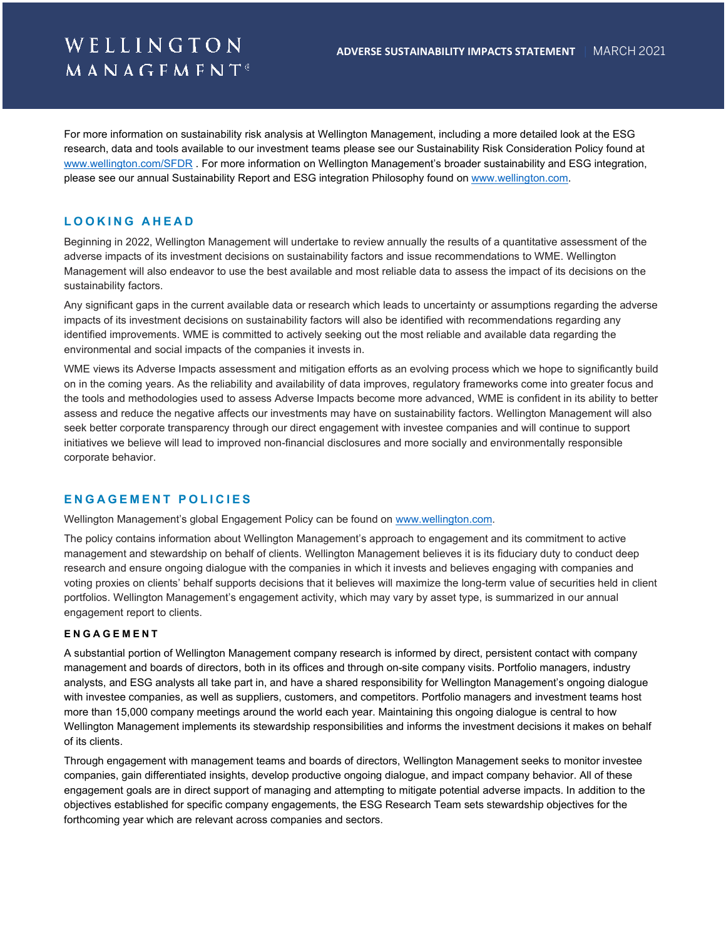# WELLINGTON **MANAGFMFNT**<sup>®</sup>

For more information on sustainability risk analysis at Wellington Management, including a more detailed look at the ESG research, data and tools available to our investment teams please see our Sustainability Risk Consideration Policy found at [www.wellington.com/SFDR](http://www.wellington.com/SFDR) . For more information on Wellington Management's broader sustainability and ESG integration, please see our annual Sustainability Report and ESG integration Philosophy found o[n www.wellington.com.](http://www.wellington.com/)

## **LOOKIN G AHEAD**

Beginning in 2022, Wellington Management will undertake to review annually the results of a quantitative assessment of the adverse impacts of its investment decisions on sustainability factors and issue recommendations to WME. Wellington Management will also endeavor to use the best available and most reliable data to assess the impact of its decisions on the sustainability factors.

Any significant gaps in the current available data or research which leads to uncertainty or assumptions regarding the adverse impacts of its investment decisions on sustainability factors will also be identified with recommendations regarding any identified improvements. WME is committed to actively seeking out the most reliable and available data regarding the environmental and social impacts of the companies it invests in.

WME views its Adverse Impacts assessment and mitigation efforts as an evolving process which we hope to significantly build on in the coming years. As the reliability and availability of data improves, regulatory frameworks come into greater focus and the tools and methodologies used to assess Adverse Impacts become more advanced, WME is confident in its ability to better assess and reduce the negative affects our investments may have on sustainability factors. Wellington Management will also seek better corporate transparency through our direct engagement with investee companies and will continue to support initiatives we believe will lead to improved non-financial disclosures and more socially and environmentally responsible corporate behavior.

#### **ENGAGEMENT POLIC IES**

Wellington Management's global Engagement Policy can be found o[n www.wellington.com.](http://www.wellington.com/)

The policy contains information about Wellington Management's approach to engagement and its commitment to active management and stewardship on behalf of clients. Wellington Management believes it is its fiduciary duty to conduct deep research and ensure ongoing dialogue with the companies in which it invests and believes engaging with companies and voting proxies on clients' behalf supports decisions that it believes will maximize the long-term value of securities held in client portfolios. Wellington Management's engagement activity, which may vary by asset type, is summarized in our annual engagement report to clients.

#### **ENGAGEM ENT**

A substantial portion of Wellington Management company research is informed by direct, persistent contact with company management and boards of directors, both in its offices and through on-site company visits. Portfolio managers, industry analysts, and ESG analysts all take part in, and have a shared responsibility for Wellington Management's ongoing dialogue with investee companies, as well as suppliers, customers, and competitors. Portfolio managers and investment teams host more than 15,000 company meetings around the world each year. Maintaining this ongoing dialogue is central to how Wellington Management implements its stewardship responsibilities and informs the investment decisions it makes on behalf of its clients.

Through engagement with management teams and boards of directors, Wellington Management seeks to monitor investee companies, gain differentiated insights, develop productive ongoing dialogue, and impact company behavior. All of these engagement goals are in direct support of managing and attempting to mitigate potential adverse impacts. In addition to the objectives established for specific company engagements, the ESG Research Team sets stewardship objectives for the forthcoming year which are relevant across companies and sectors.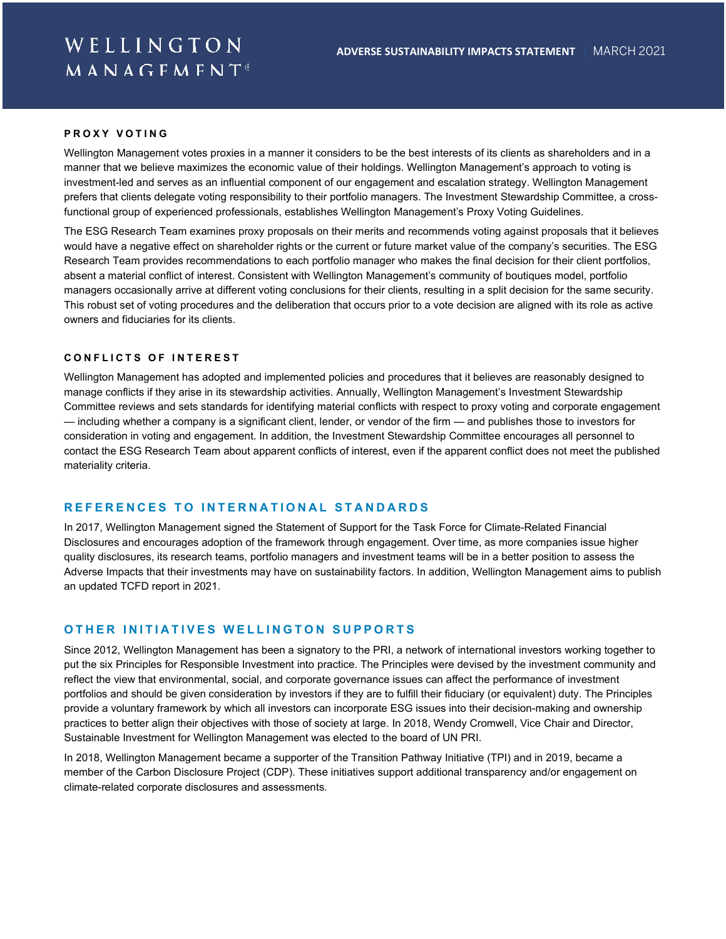#### **PROXY VOTING**

Wellington Management votes proxies in a manner it considers to be the best interests of its clients as shareholders and in a manner that we believe maximizes the economic value of their holdings. Wellington Management's approach to voting is investment-led and serves as an influential component of our engagement and escalation strategy. Wellington Management prefers that clients delegate voting responsibility to their portfolio managers. The Investment Stewardship Committee, a crossfunctional group of experienced professionals, establishes Wellington Management's Proxy Voting Guidelines.

The ESG Research Team examines proxy proposals on their merits and recommends voting against proposals that it believes would have a negative effect on shareholder rights or the current or future market value of the company's securities. The ESG Research Team provides recommendations to each portfolio manager who makes the final decision for their client portfolios, absent a material conflict of interest. Consistent with Wellington Management's community of boutiques model, portfolio managers occasionally arrive at different voting conclusions for their clients, resulting in a split decision for the same security. This robust set of voting procedures and the deliberation that occurs prior to a vote decision are aligned with its role as active owners and fiduciaries for its clients.

#### **CONFLICTS OF INTEREST**

Wellington Management has adopted and implemented policies and procedures that it believes are reasonably designed to manage conflicts if they arise in its stewardship activities. Annually, Wellington Management's Investment Stewardship Committee reviews and sets standards for identifying material conflicts with respect to proxy voting and corporate engagement — including whether a company is a significant client, lender, or vendor of the firm — and publishes those to investors for consideration in voting and engagement. In addition, the Investment Stewardship Committee encourages all personnel to contact the ESG Research Team about apparent conflicts of interest, even if the apparent conflict does not meet the published materiality criteria.

### **REFERENCES TO INTERNATIONAL STANDARDS**

In 2017, Wellington Management signed the Statement of Support for the Task Force for Climate-Related Financial Disclosures and encourages adoption of the framework through engagement. Over time, as more companies issue higher quality disclosures, its research teams, portfolio managers and investment teams will be in a better position to assess the Adverse Impacts that their investments may have on sustainability factors. In addition, Wellington Management aims to publish an updated TCFD report in 2021.

#### **OTHER INITIATIVES WELLINGTON SUPPORTS**

Since 2012, Wellington Management has been a signatory to the PRI, a network of international investors working together to put the six Principles for Responsible Investment into practice. The Principles were devised by the investment community and reflect the view that environmental, social, and corporate governance issues can affect the performance of investment portfolios and should be given consideration by investors if they are to fulfill their fiduciary (or equivalent) duty. The Principles provide a voluntary framework by which all investors can incorporate ESG issues into their decision-making and ownership practices to better align their objectives with those of society at large. In 2018, Wendy Cromwell, Vice Chair and Director, Sustainable Investment for Wellington Management was elected to the board of UN PRI.

In 2018, Wellington Management became a supporter of the Transition Pathway Initiative (TPI) and in 2019, became a member of the Carbon Disclosure Project (CDP). These initiatives support additional transparency and/or engagement on climate-related corporate disclosures and assessments.